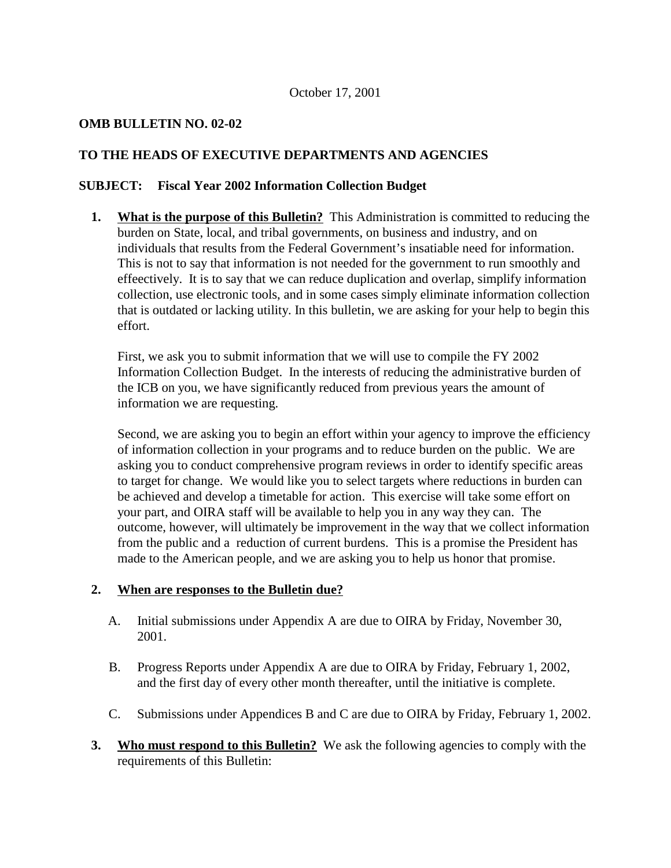# **OMB BULLETIN NO. 02-02**

# **TO THE HEADS OF EXECUTIVE DEPARTMENTS AND AGENCIES**

# **SUBJECT: Fiscal Year 2002 Information Collection Budget**

**1. What is the purpose of this Bulletin?** This Administration is committed to reducing the burden on State, local, and tribal governments, on business and industry, and on individuals that results from the Federal Government's insatiable need for information. This is not to say that information is not needed for the government to run smoothly and effeectively. It is to say that we can reduce duplication and overlap, simplify information collection, use electronic tools, and in some cases simply eliminate information collection that is outdated or lacking utility. In this bulletin, we are asking for your help to begin this effort.

First, we ask you to submit information that we will use to compile the FY 2002 Information Collection Budget. In the interests of reducing the administrative burden of the ICB on you, we have significantly reduced from previous years the amount of information we are requesting.

Second, we are asking you to begin an effort within your agency to improve the efficiency of information collection in your programs and to reduce burden on the public. We are asking you to conduct comprehensive program reviews in order to identify specific areas to target for change. We would like you to select targets where reductions in burden can be achieved and develop a timetable for action. This exercise will take some effort on your part, and OIRA staff will be available to help you in any way they can. The outcome, however, will ultimately be improvement in the way that we collect information from the public and a reduction of current burdens. This is a promise the President has made to the American people, and we are asking you to help us honor that promise.

# **2. When are responses to the Bulletin due?**

- A. Initial submissions under Appendix A are due to OIRA by Friday, November 30, 2001.
- B. Progress Reports under Appendix A are due to OIRA by Friday, February 1, 2002, and the first day of every other month thereafter, until the initiative is complete.
- C. Submissions under Appendices B and C are due to OIRA by Friday, February 1, 2002.
- **3.** Who must respond to this Bulletin? We ask the following agencies to comply with the requirements of this Bulletin: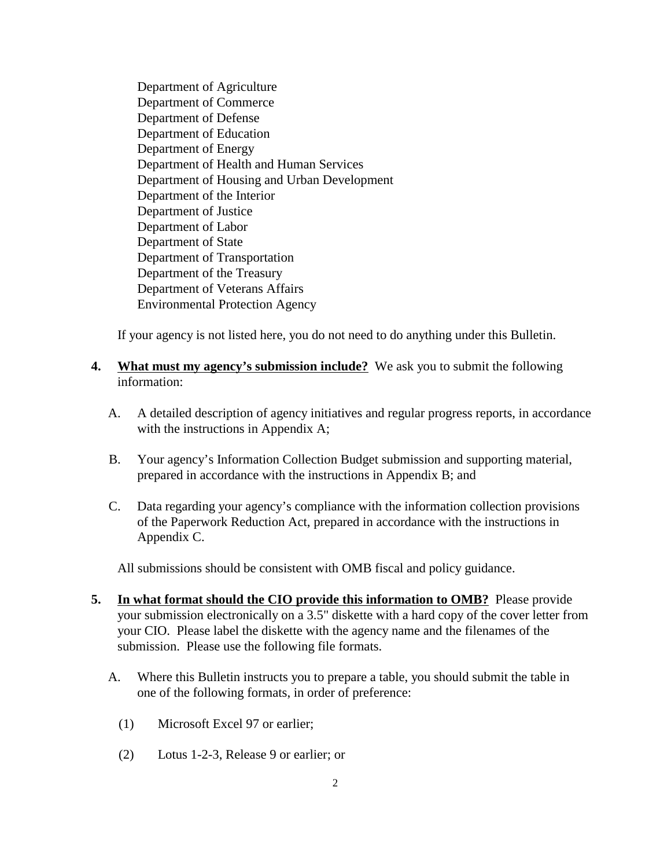Department of Agriculture Department of Commerce Department of Defense Department of Education Department of Energy Department of Health and Human Services Department of Housing and Urban Development Department of the Interior Department of Justice Department of Labor Department of State Department of Transportation Department of the Treasury Department of Veterans Affairs Environmental Protection Agency

If your agency is not listed here, you do not need to do anything under this Bulletin.

- **4. What must my agency's submission include?** We ask you to submit the following information:
	- A. A detailed description of agency initiatives and regular progress reports, in accordance with the instructions in Appendix A;
	- B. Your agency's Information Collection Budget submission and supporting material, prepared in accordance with the instructions in Appendix B; and
	- C. Data regarding your agency's compliance with the information collection provisions of the Paperwork Reduction Act, prepared in accordance with the instructions in Appendix C.

All submissions should be consistent with OMB fiscal and policy guidance.

- **5.** In what format should the CIO provide this information to OMB? Please provide your submission electronically on a 3.5" diskette with a hard copy of the cover letter from your CIO. Please label the diskette with the agency name and the filenames of the submission. Please use the following file formats.
	- A. Where this Bulletin instructs you to prepare a table, you should submit the table in one of the following formats, in order of preference:
		- (1) Microsoft Excel 97 or earlier;
		- (2) Lotus 1-2-3, Release 9 or earlier; or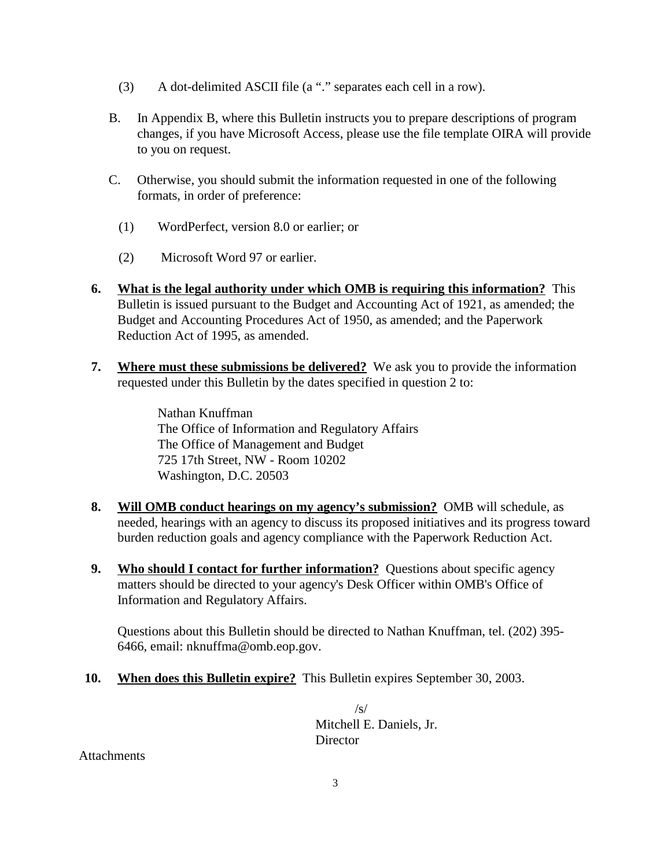- (3) A dot-delimited ASCII file (a "." separates each cell in a row).
- B. In Appendix B, where this Bulletin instructs you to prepare descriptions of program changes, if you have Microsoft Access, please use the file template OIRA will provide to you on request.
- C. Otherwise, you should submit the information requested in one of the following formats, in order of preference:
	- (1) WordPerfect, version 8.0 or earlier; or
	- (2) Microsoft Word 97 or earlier.
- **6. What is the legal authority under which OMB is requiring this information?** This Bulletin is issued pursuant to the Budget and Accounting Act of 1921, as amended; the Budget and Accounting Procedures Act of 1950, as amended; and the Paperwork Reduction Act of 1995, as amended.
- **7. Where must these submissions be delivered?** We ask you to provide the information requested under this Bulletin by the dates specified in question 2 to:

Nathan Knuffman The Office of Information and Regulatory Affairs The Office of Management and Budget 725 17th Street, NW - Room 10202 Washington, D.C. 20503

- **8. Will OMB conduct hearings on my agency's submission?** OMB will schedule, as needed, hearings with an agency to discuss its proposed initiatives and its progress toward burden reduction goals and agency compliance with the Paperwork Reduction Act.
- **9. Who should I contact for further information?** Questions about specific agency matters should be directed to your agency's Desk Officer within OMB's Office of Information and Regulatory Affairs.

Questions about this Bulletin should be directed to Nathan Knuffman, tel. (202) 395- 6466, email: nknuffma@omb.eop.gov.

**10. When does this Bulletin expire?** This Bulletin expires September 30, 2003.

 $\sqrt{s}$ Mitchell E. Daniels, Jr. **Director** 

**Attachments**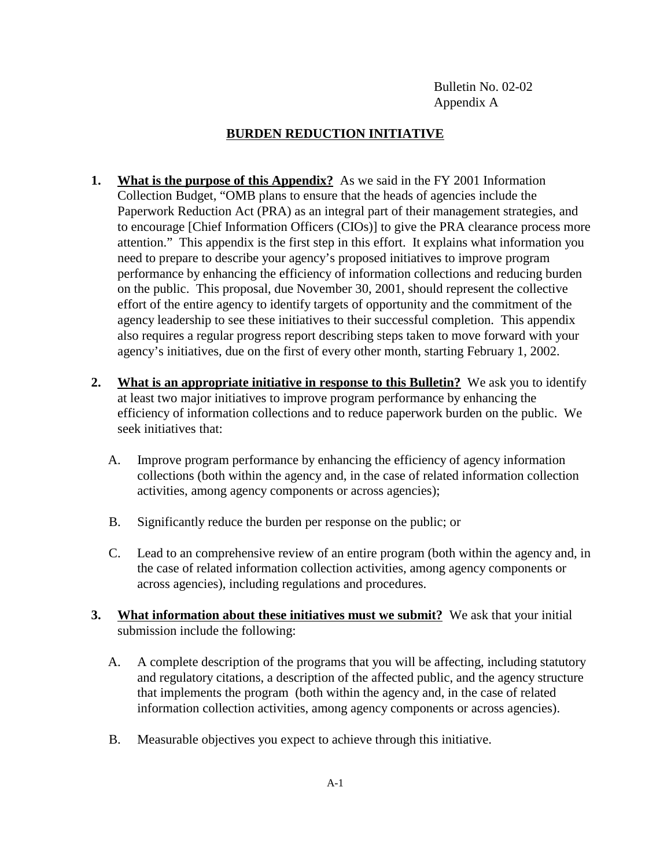Bulletin No. 02-02 Appendix A

## **BURDEN REDUCTION INITIATIVE**

- **1. What is the purpose of this Appendix?** As we said in the FY 2001 Information Collection Budget, "OMB plans to ensure that the heads of agencies include the Paperwork Reduction Act (PRA) as an integral part of their management strategies, and to encourage [Chief Information Officers (CIOs)] to give the PRA clearance process more attention." This appendix is the first step in this effort. It explains what information you need to prepare to describe your agency's proposed initiatives to improve program performance by enhancing the efficiency of information collections and reducing burden on the public. This proposal, due November 30, 2001, should represent the collective effort of the entire agency to identify targets of opportunity and the commitment of the agency leadership to see these initiatives to their successful completion. This appendix also requires a regular progress report describing steps taken to move forward with your agency's initiatives, due on the first of every other month, starting February 1, 2002.
- **2. What is an appropriate initiative in response to this Bulletin?** We ask you to identify at least two major initiatives to improve program performance by enhancing the efficiency of information collections and to reduce paperwork burden on the public. We seek initiatives that:
	- A. Improve program performance by enhancing the efficiency of agency information collections (both within the agency and, in the case of related information collection activities, among agency components or across agencies);
	- B. Significantly reduce the burden per response on the public; or
	- C. Lead to an comprehensive review of an entire program (both within the agency and, in the case of related information collection activities, among agency components or across agencies), including regulations and procedures.
- **3. What information about these initiatives must we submit?** We ask that your initial submission include the following:
	- A. A complete description of the programs that you will be affecting, including statutory and regulatory citations, a description of the affected public, and the agency structure that implements the program (both within the agency and, in the case of related information collection activities, among agency components or across agencies).
	- B. Measurable objectives you expect to achieve through this initiative.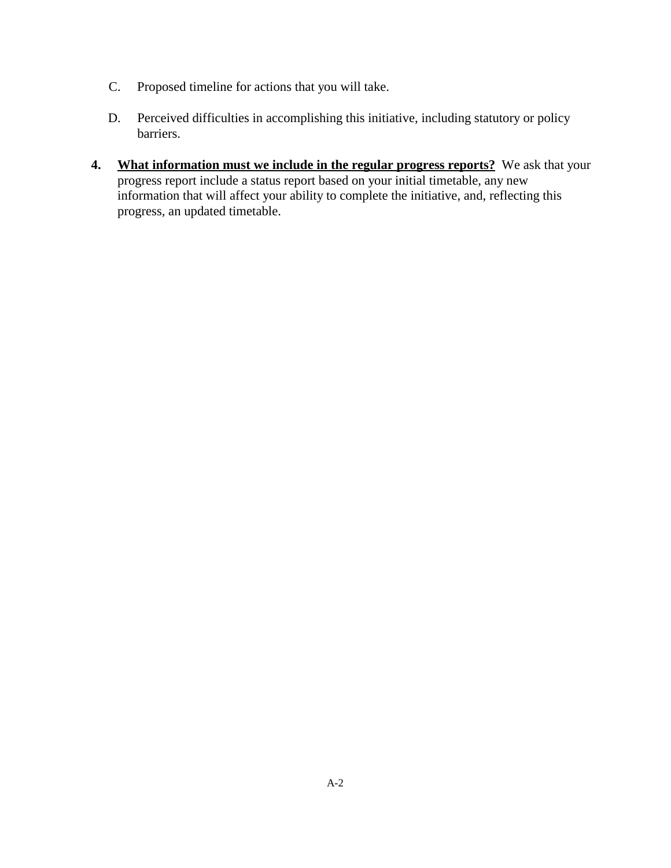- C. Proposed timeline for actions that you will take.
- D. Perceived difficulties in accomplishing this initiative, including statutory or policy barriers.
- **4. What information must we include in the regular progress reports?** We ask that your progress report include a status report based on your initial timetable, any new information that will affect your ability to complete the initiative, and, reflecting this progress, an updated timetable.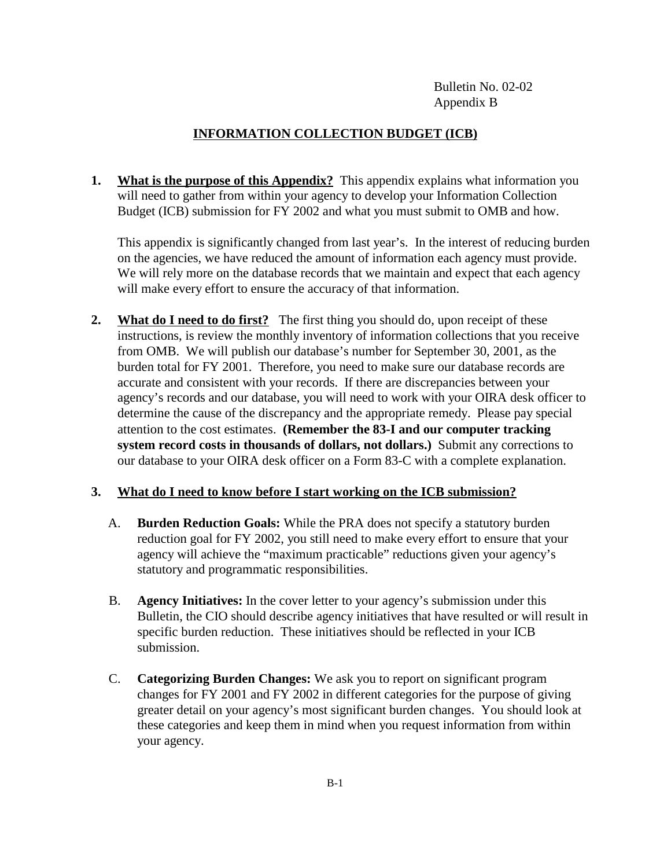Bulletin No. 02-02 Appendix B

## **INFORMATION COLLECTION BUDGET (ICB)**

**1.** What is the purpose of this Appendix? This appendix explains what information you will need to gather from within your agency to develop your Information Collection Budget (ICB) submission for FY 2002 and what you must submit to OMB and how.

This appendix is significantly changed from last year's. In the interest of reducing burden on the agencies, we have reduced the amount of information each agency must provide. We will rely more on the database records that we maintain and expect that each agency will make every effort to ensure the accuracy of that information.

**2. What do I need to do first?** The first thing you should do, upon receipt of these instructions, is review the monthly inventory of information collections that you receive from OMB. We will publish our database's number for September 30, 2001, as the burden total for FY 2001. Therefore, you need to make sure our database records are accurate and consistent with your records. If there are discrepancies between your agency's records and our database, you will need to work with your OIRA desk officer to determine the cause of the discrepancy and the appropriate remedy. Please pay special attention to the cost estimates. **(Remember the 83-I and our computer tracking system record costs in thousands of dollars, not dollars.)** Submit any corrections to our database to your OIRA desk officer on a Form 83-C with a complete explanation.

## **3. What do I need to know before I start working on the ICB submission?**

- A. **Burden Reduction Goals:** While the PRA does not specify a statutory burden reduction goal for FY 2002, you still need to make every effort to ensure that your agency will achieve the "maximum practicable" reductions given your agency's statutory and programmatic responsibilities.
- B. **Agency Initiatives:** In the cover letter to your agency's submission under this Bulletin, the CIO should describe agency initiatives that have resulted or will result in specific burden reduction. These initiatives should be reflected in your ICB submission.
- C. **Categorizing Burden Changes:** We ask you to report on significant program changes for FY 2001 and FY 2002 in different categories for the purpose of giving greater detail on your agency's most significant burden changes. You should look at these categories and keep them in mind when you request information from within your agency.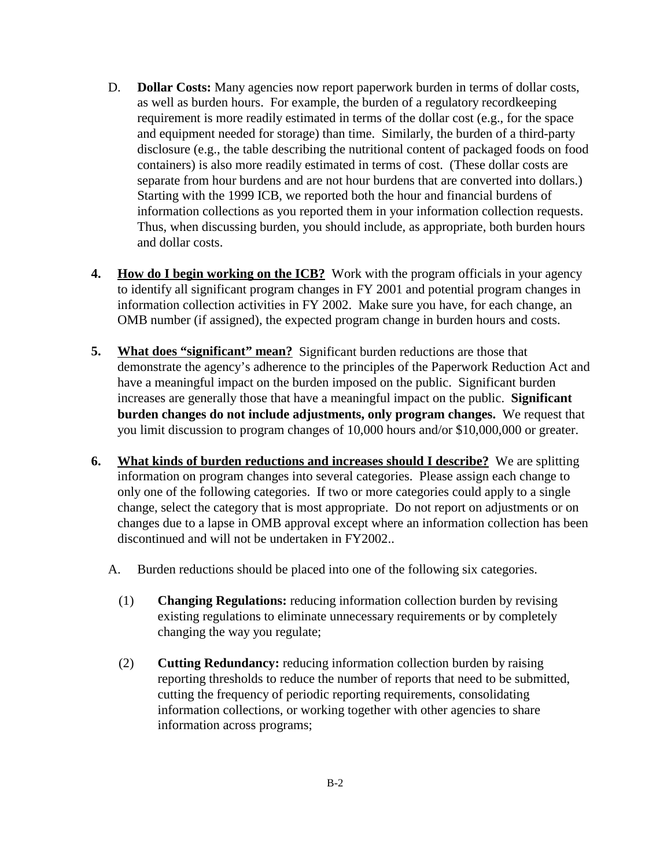- D. **Dollar Costs:** Many agencies now report paperwork burden in terms of dollar costs, as well as burden hours. For example, the burden of a regulatory recordkeeping requirement is more readily estimated in terms of the dollar cost (e.g., for the space and equipment needed for storage) than time. Similarly, the burden of a third-party disclosure (e.g., the table describing the nutritional content of packaged foods on food containers) is also more readily estimated in terms of cost. (These dollar costs are separate from hour burdens and are not hour burdens that are converted into dollars.) Starting with the 1999 ICB, we reported both the hour and financial burdens of information collections as you reported them in your information collection requests. Thus, when discussing burden, you should include, as appropriate, both burden hours and dollar costs.
- **4.** How do I begin working on the ICB? Work with the program officials in your agency to identify all significant program changes in FY 2001 and potential program changes in information collection activities in FY 2002. Make sure you have, for each change, an OMB number (if assigned), the expected program change in burden hours and costs.
- **5. What does "significant" mean?** Significant burden reductions are those that demonstrate the agency's adherence to the principles of the Paperwork Reduction Act and have a meaningful impact on the burden imposed on the public. Significant burden increases are generally those that have a meaningful impact on the public. **Significant burden changes do not include adjustments, only program changes.** We request that you limit discussion to program changes of 10,000 hours and/or \$10,000,000 or greater.
- **6. What kinds of burden reductions and increases should I describe?** We are splitting information on program changes into several categories. Please assign each change to only one of the following categories. If two or more categories could apply to a single change, select the category that is most appropriate. Do not report on adjustments or on changes due to a lapse in OMB approval except where an information collection has been discontinued and will not be undertaken in FY2002..
	- A. Burden reductions should be placed into one of the following six categories.
		- (1) **Changing Regulations:** reducing information collection burden by revising existing regulations to eliminate unnecessary requirements or by completely changing the way you regulate;
		- (2) **Cutting Redundancy:** reducing information collection burden by raising reporting thresholds to reduce the number of reports that need to be submitted, cutting the frequency of periodic reporting requirements, consolidating information collections, or working together with other agencies to share information across programs;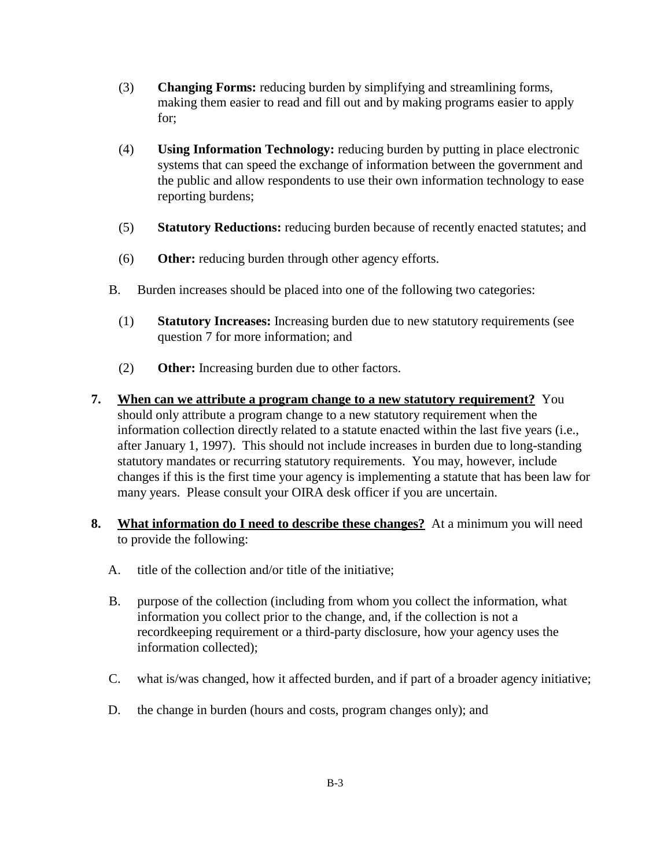- (3) **Changing Forms:** reducing burden by simplifying and streamlining forms, making them easier to read and fill out and by making programs easier to apply for;
- (4) **Using Information Technology:** reducing burden by putting in place electronic systems that can speed the exchange of information between the government and the public and allow respondents to use their own information technology to ease reporting burdens;
- (5) **Statutory Reductions:** reducing burden because of recently enacted statutes; and
- (6) **Other:** reducing burden through other agency efforts.
- B. Burden increases should be placed into one of the following two categories:
	- (1) **Statutory Increases:** Increasing burden due to new statutory requirements (see question 7 for more information; and
	- (2) **Other:** Increasing burden due to other factors.
- **7. When can we attribute a program change to a new statutory requirement?** You should only attribute a program change to a new statutory requirement when the information collection directly related to a statute enacted within the last five years (i.e., after January 1, 1997). This should not include increases in burden due to long-standing statutory mandates or recurring statutory requirements. You may, however, include changes if this is the first time your agency is implementing a statute that has been law for many years. Please consult your OIRA desk officer if you are uncertain.
- **8. What information do I need to describe these changes?** At a minimum you will need to provide the following:
	- A. title of the collection and/or title of the initiative;
	- B. purpose of the collection (including from whom you collect the information, what information you collect prior to the change, and, if the collection is not a recordkeeping requirement or a third-party disclosure, how your agency uses the information collected);
	- C. what is/was changed, how it affected burden, and if part of a broader agency initiative;
	- D. the change in burden (hours and costs, program changes only); and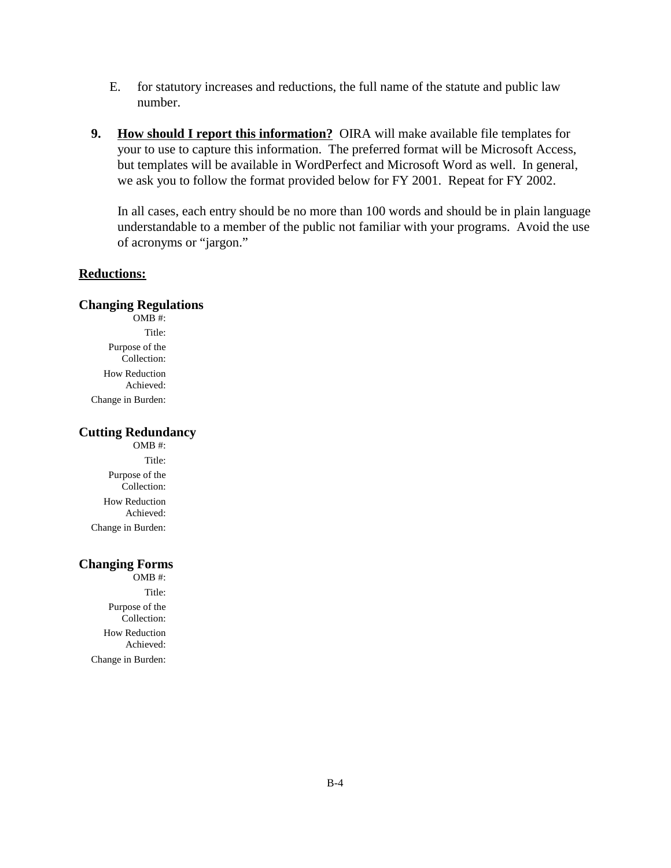- E. for statutory increases and reductions, the full name of the statute and public law number.
- **9. How should I report this information?** OIRA will make available file templates for your to use to capture this information. The preferred format will be Microsoft Access, but templates will be available in WordPerfect and Microsoft Word as well. In general, we ask you to follow the format provided below for FY 2001. Repeat for FY 2002.

In all cases, each entry should be no more than 100 words and should be in plain language understandable to a member of the public not familiar with your programs. Avoid the use of acronyms or "jargon."

### **Reductions:**

#### **Changing Regulations**

OMB #: Title: Purpose of the Collection: How Reduction Achieved: Change in Burden:

## **Cutting Redundancy**

OMB #: Title: Purpose of the Collection: How Reduction Achieved: Change in Burden:

#### **Changing Forms**

OMB #: Title: Purpose of the Collection: How Reduction Achieved: Change in Burden: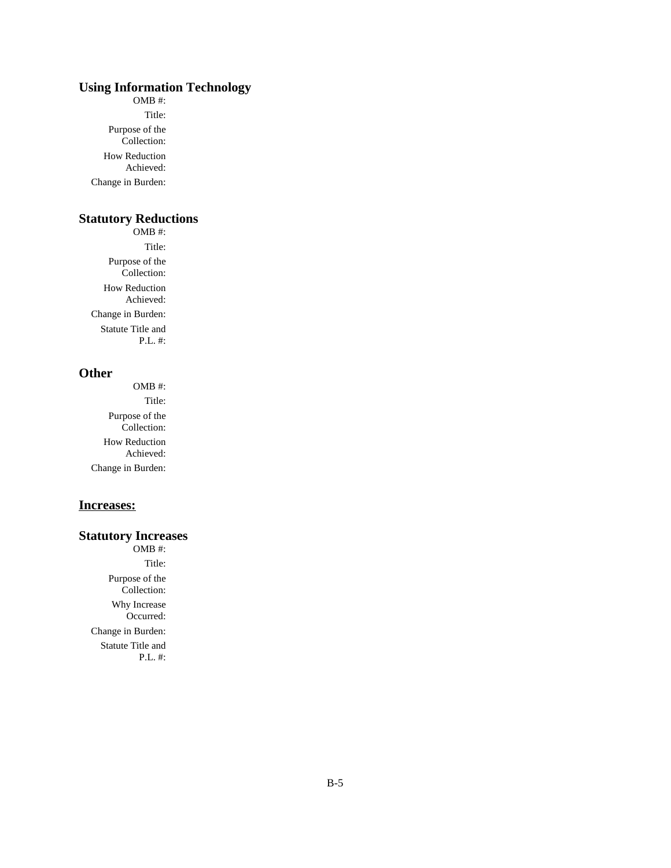## **Using Information Technology**

OMB #: Title: Purpose of the Collection: How Reduction Achieved: Change in Burden:

## **Statutory Reductions**

OMB #: Title: Purpose of the Collection: How Reduction Achieved: Change in Burden: Statute Title and P.L. #:

### **Other**

OMB #: Title: Purpose of the Collection: How Reduction Achieved: Change in Burden:

#### **Increases:**

### **Statutory Increases**

OMB #: Title: Purpose of the Collection: Why Increase Occurred: Change in Burden: Statute Title and P.L. #: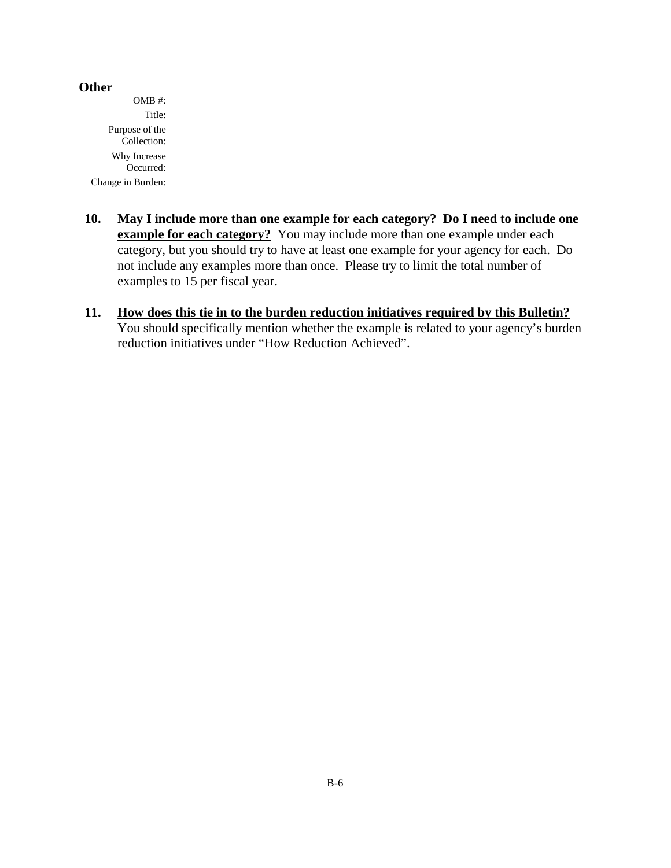### **Other**

OMB #: Title: Purpose of the Collection: Why Increase Occurred: Change in Burden:

- **10. May I include more than one example for each category? Do I need to include one example for each category?** You may include more than one example under each category, but you should try to have at least one example for your agency for each. Do not include any examples more than once. Please try to limit the total number of examples to 15 per fiscal year.
- **11. How does this tie in to the burden reduction initiatives required by this Bulletin?**  You should specifically mention whether the example is related to your agency's burden reduction initiatives under "How Reduction Achieved".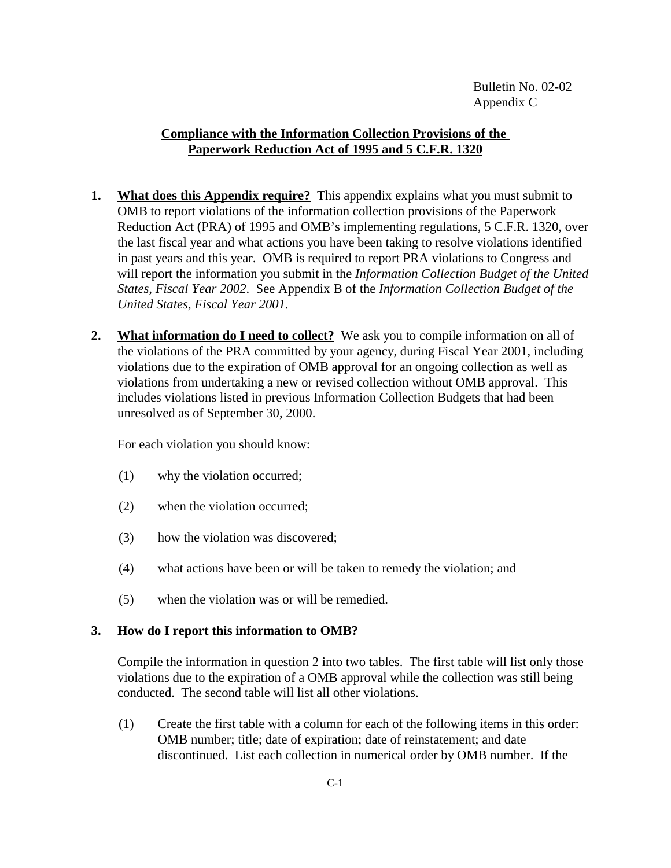## **Compliance with the Information Collection Provisions of the Paperwork Reduction Act of 1995 and 5 C.F.R. 1320**

- **1. What does this Appendix require?** This appendix explains what you must submit to OMB to report violations of the information collection provisions of the Paperwork Reduction Act (PRA) of 1995 and OMB's implementing regulations, 5 C.F.R. 1320, over the last fiscal year and what actions you have been taking to resolve violations identified in past years and this year. OMB is required to report PRA violations to Congress and will report the information you submit in the *Information Collection Budget of the United States, Fiscal Year 2002*. See Appendix B of the *Information Collection Budget of the United States, Fiscal Year 2001.*
- **2.** What information do I need to collect? We ask you to compile information on all of the violations of the PRA committed by your agency, during Fiscal Year 2001, including violations due to the expiration of OMB approval for an ongoing collection as well as violations from undertaking a new or revised collection without OMB approval. This includes violations listed in previous Information Collection Budgets that had been unresolved as of September 30, 2000.

For each violation you should know:

- (1) why the violation occurred;
- (2) when the violation occurred;
- (3) how the violation was discovered;
- (4) what actions have been or will be taken to remedy the violation; and
- (5) when the violation was or will be remedied.

## **3. How do I report this information to OMB?**

Compile the information in question 2 into two tables. The first table will list only those violations due to the expiration of a OMB approval while the collection was still being conducted. The second table will list all other violations.

(1) Create the first table with a column for each of the following items in this order: OMB number; title; date of expiration; date of reinstatement; and date discontinued. List each collection in numerical order by OMB number. If the